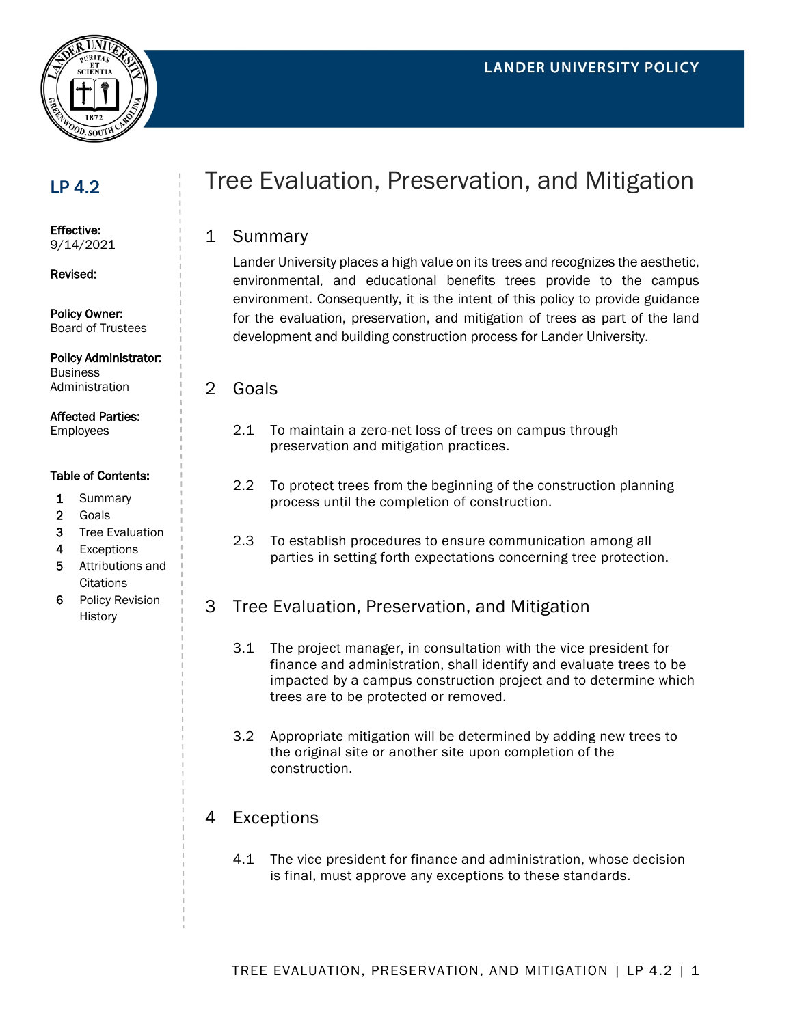

## LP 4.2

Effective: 9/14/2021

Revised:

Policy Owner: Board of Trustees

Policy Administrator: **Business** Administration

Affected Parties:

Employees

#### Table of Contents:

- 1 Summary
- 2 Goals
- 3 Tree Evaluation
- 4 Exceptions
- 5 Attributions and **Citations**
- 6 Policy Revision History

# Tree Evaluation, Preservation, and Mitigation

#### 1 Summary

Lander University places a high value on its trees and recognizes the aesthetic, environmental, and educational benefits trees provide to the campus environment. Consequently, it is the intent of this policy to provide guidance for the evaluation, preservation, and mitigation of trees as part of the land development and building construction process for Lander University.

2 Goals

- 2.1 To maintain a zero-net loss of trees on campus through preservation and mitigation practices.
- 2.2 To protect trees from the beginning of the construction planning process until the completion of construction.
- 2.3 To establish procedures to ensure communication among all parties in setting forth expectations concerning tree protection.
- 3 Tree Evaluation, Preservation, and Mitigation
	- 3.1 The project manager, in consultation with the vice president for finance and administration, shall identify and evaluate trees to be impacted by a campus construction project and to determine which trees are to be protected or removed.
	- 3.2 Appropriate mitigation will be determined by adding new trees to the original site or another site upon completion of the construction.

### 4 Exceptions

4.1 The vice president for finance and administration, whose decision is final, must approve any exceptions to these standards.